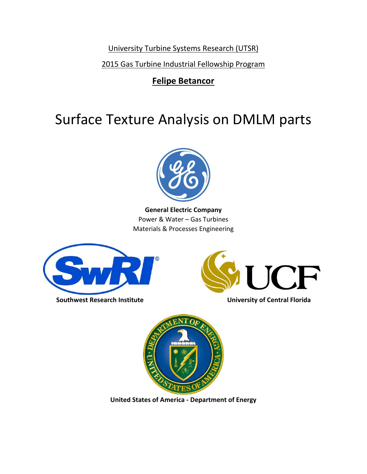University Turbine Systems Research (UTSR)

2015 Gas Turbine Industrial Fellowship Program

# **Felipe Betancor**

# Surface Texture Analysis on DMLM parts



**General Electric Company** Power & Water – Gas Turbines Materials & Processes Engineering



**Southwest Research Institute Community Contral Florida** 





**United States of America - Department of Energy**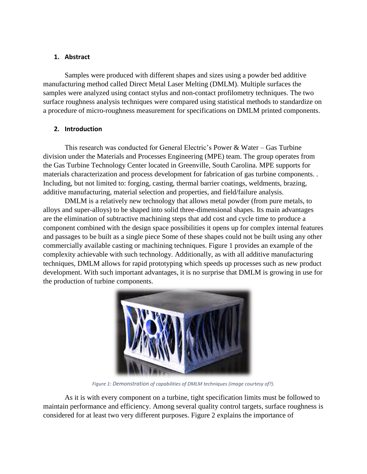# **1. Abstract**

Samples were produced with different shapes and sizes using a powder bed additive manufacturing method called Direct Metal Laser Melting (DMLM). Multiple surfaces the samples were analyzed using contact stylus and non-contact profilometry techniques. The two surface roughness analysis techniques were compared using statistical methods to standardize on a procedure of micro-roughness measurement for specifications on DMLM printed components.

# **2. Introduction**

This research was conducted for General Electric's Power & Water – Gas Turbine division under the Materials and Processes Engineering (MPE) team. The group operates from the Gas Turbine Technology Center located in Greenville, South Carolina. MPE supports for materials characterization and process development for fabrication of gas turbine components. . Including, but not limited to: forging, casting, thermal barrier coatings, weldments, brazing, additive manufacturing, material selection and properties, and field/failure analysis.

DMLM is a relatively new technology that allows metal powder (from pure metals, to alloys and super-alloys) to be shaped into solid three-dimensional shapes. Its main advantages are the elimination of subtractive machining steps that add cost and cycle time to produce a component combined with the design space possibilities it opens up for complex internal features and passages to be built as a single piece Some of these shapes could not be built using any other commercially available casting or machining techniques. Figure 1 provides an example of the complexity achievable with such technology. Additionally, as with all additive manufacturing techniques, DMLM allows for rapid prototyping which speeds up processes such as new product development. With such important advantages, it is no surprise that DMLM is growing in use for the production of turbine components.



*Figure 1: Demonstration of capabilities of DMLM techniques (image courtesy of?).*

As it is with every component on a turbine, tight specification limits must be followed to maintain performance and efficiency. Among several quality control targets, surface roughness is considered for at least two very different purposes. Figure 2 explains the importance of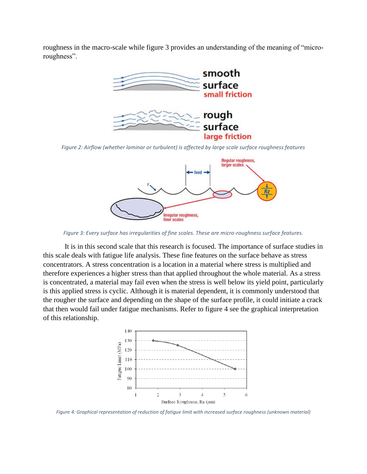roughness in the macro-scale while figure 3 provides an understanding of the meaning of "microroughness".



*Figure 2: Airflow (whether laminar or turbulent) is affected by large scale surface roughness features*



*Figure 3: Every surface has irregularities of fine scales. These are micro-roughness surface features.*

It is in this second scale that this research is focused. The importance of surface studies in this scale deals with fatigue life analysis. These fine features on the surface behave as stress concentrators. A stress concentration is a location in a material where stress is multiplied and therefore experiences a higher stress than that applied throughout the whole material. As a stress is concentrated, a material may fail even when the stress is well below its yield point, particularly is this applied stress is cyclic. Although it is material dependent, it is commonly understood that the rougher the surface and depending on the shape of the surface profile, it could initiate a crack that then would fail under fatigue mechanisms. Refer to figure 4 see the graphical interpretation of this relationship.



*Figure 4: Graphical representation of reduction of fatigue limit with increased surface roughness (unknown material)*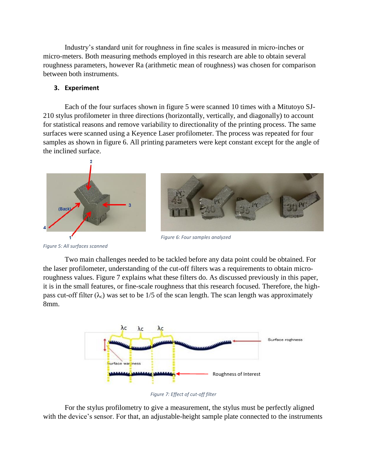Industry's standard unit for roughness in fine scales is measured in micro-inches or micro-meters. Both measuring methods employed in this research are able to obtain several roughness parameters, however Ra (arithmetic mean of roughness) was chosen for comparison between both instruments.

### **3. Experiment**

Each of the four surfaces shown in figure 5 were scanned 10 times with a Mitutoyo SJ-210 stylus profilometer in three directions (horizontally, vertically, and diagonally) to account for statistical reasons and remove variability to directionality of the printing process. The same surfaces were scanned using a Keyence Laser profilometer. The process was repeated for four samples as shown in figure 6. All printing parameters were kept constant except for the angle of the inclined surface.





*Figure 6: Four samples analyzed*

*Figure 5: All surfaces scanned*

Two main challenges needed to be tackled before any data point could be obtained. For the laser profilometer, understanding of the cut-off filters was a requirements to obtain microroughness values. Figure 7 explains what these filters do. As discussed previously in this paper, it is in the small features, or fine-scale roughness that this research focused. Therefore, the highpass cut-off filter  $(\lambda_c)$  was set to be 1/5 of the scan length. The scan length was approximately 8mm.



*Figure 7: Effect of cut-off filter*

For the stylus profilometry to give a measurement, the stylus must be perfectly aligned with the device's sensor. For that, an adjustable-height sample plate connected to the instruments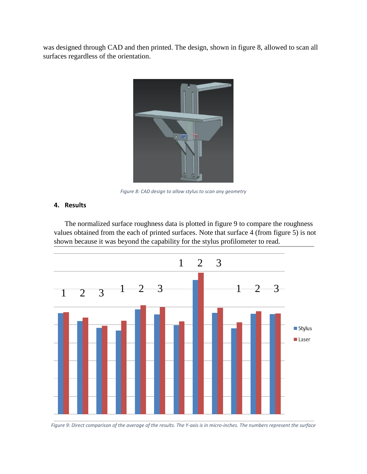was designed through CAD and then printed. The design, shown in figure 8, allowed to scan all surfaces regardless of the orientation.



*Figure 8: CAD design to allow stylus to scan any geometry*

#### **4. Results**

The normalized surface roughness data is plotted in figure 9 to compare the roughness values obtained from the each of printed surfaces. Note that surface 4 (from figure 5) is not shown because it was beyond the capability for the stylus profilometer to read.



*Figure 9: Direct comparison of the average of the results. The Y-axis is in micro-inches. The numbers represent the surface*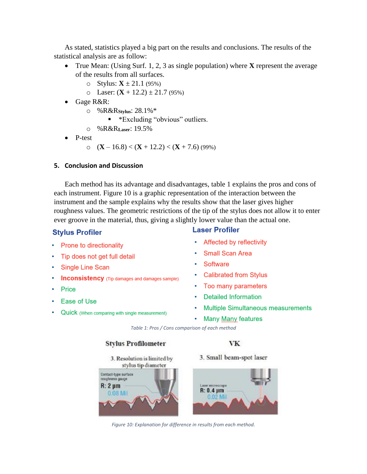As stated, statistics played a big part on the results and conclusions. The results of the statistical analysis are as follow:

- True Mean: (Using Surf. 1, 2, 3 as single population) where **X** represent the average of the results from all surfaces.
	- o Stylus:  $X \pm 21.1$  (95%)
	- $\circ$  Laser:  $(X + 12.2) \pm 21.7$  (95%)
- Gage R&R:
	- o %R&R**Stylus**: 28.1%\*
		- **\*** \* Excluding "obvious" outliers.
	- o %R&R**Laser**: 19.5%
- P-test
	- o (**X** 16.8) < (**X** + 12.2) < (**X** + 7.6) (99%)

#### **5. Conclusion and Discussion**

Each method has its advantage and disadvantages, table 1 explains the pros and cons of each instrument. Figure 10 is a graphic representation of the interaction between the instrument and the sample explains why the results show that the laser gives higher roughness values. The geometric restrictions of the tip of the stylus does not allow it to enter ever groove in the material, thus, giving a slightly lower value than the actual one.

# **Stylus Profiler**

- Prone to directionality
- Tip does not get full detail
- Single Line Scan
- **Inconsistency** (Tip damages and damages sample)
- Price
- Ease of Use ۰
- Quick (When comparing with single measurement)

# **Laser Profiler**

- Affected by reflectivity
- **Small Scan Area**
- **Software**
- **Calibrated from Stylus**
- Too many parameters
- **Detailed Information**
- **Multiple Simultaneous measurements**
- **Many Many features**

*Table 1: Pros / Cons comparison of each method*

#### **Stylus Profilometer**

3. Resolution is limited by

3. Small beam-spot laser

VK



*Figure 10: Explanation for difference in results from each method.*